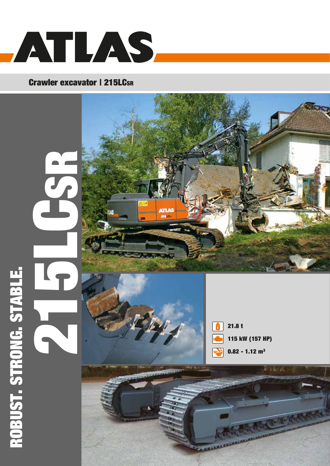

# Crawler excavator | 215LCsR